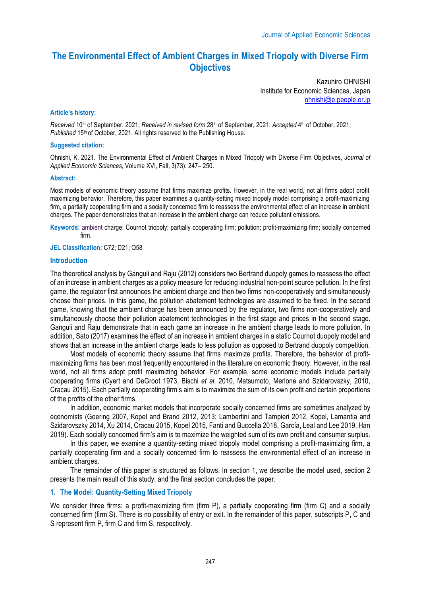# **The Environmental Effect of Ambient Charges in Mixed Triopoly with Diverse Firm Objectives**

Kazuhiro OHNISHI Institute for Economic Sciences, Japan ohnishi@e.people.or.jp

### **Article's history:**

*Received* 10th of September, 2021; *Received in revised form* 28th of September, 2021; *Accepted* 4th of October, 2021; *Published* 15<sup>th</sup> of October, 2021. All rights reserved to the Publishing House.

### **Suggested citation:**

Ohnishi, K. 2021. The Environmental Effect of Ambient Charges in Mixed Triopoly with Diverse Firm Objectives, *Journal of Applied Economic Sciences*, Volume XVI, Fall, 3(73): 247– 250.

#### **Abstract:**

Most models of economic theory assume that firms maximize profits. However, in the real world, not all firms adopt profit maximizing behavior. Therefore, this paper examines a quantity-setting mixed triopoly model comprising a profit-maximizing firm, a partially cooperating firm and a socially concerned firm to reassess the environmental effect of an increase in ambient charges. The paper demonstrates that an increase in the ambient charge can reduce pollutant emissions.

**Keywords:** ambient charge; Cournot triopoly; partially cooperating firm; pollution; profit-maximizing firm; socially concerned firm.

# **JEL Classification:** C72; D21; Q58

## **Introduction**

The theoretical analysis by Ganguli and Raju (2012) considers two Bertrand duopoly games to reassess the effect of an increase in ambient charges as a policy measure for reducing industrial non-point source pollution. In the first game, the regulator first announces the ambient charge and then two firms non-cooperatively and simultaneously choose their prices. In this game, the pollution abatement technologies are assumed to be fixed. In the second game, knowing that the ambient charge has been announced by the regulator, two firms non-cooperatively and simultaneously choose their pollution abatement technologies in the first stage and prices in the second stage. Ganguli and Raju demonstrate that in each game an increase in the ambient charge leads to more pollution. In addition, Sato (2017) examines the effect of an increase in ambient charges in a static Cournot duopoly model and shows that an increase in the ambient charge leads to less pollution as opposed to Bertrand duopoly competition.

Most models of economic theory assume that firms maximize profits. Therefore, the behavior of profitmaximizing firms has been most frequently encountered in the literature on economic theory. However, in the real world, not all firms adopt profit maximizing behavior. For example, some economic models include partially cooperating firms (Cyert and DeGroot 1973, Bischi *et al*. 2010, Matsumoto, Merlone and Szidarovszky, 2010, Cracau 2015). Each partially cooperating firm's aim is to maximize the sum of its own profit and certain proportions of the profits of the other firms.

In addition, economic market models that incorporate socially concerned firms are sometimes analyzed by economists (Goering 2007, Kopel and Brand 2012, 2013; Lambertini and Tampieri 2012, Kopel, Lamantia and Szidarovszky 2014, Xu 2014, Cracau 2015, Kopel 2015, Fanti and Buccella 2018, García, Leal and Lee 2019, Han 2019). Each socially concerned firm's aim is to maximize the weighted sum of its own profit and consumer surplus.

In this paper, we examine a quantity-setting mixed triopoly model comprising a profit-maximizing firm, a partially cooperating firm and a socially concerned firm to reassess the environmental effect of an increase in ambient charges.

The remainder of this paper is structured as follows. In section 1, we describe the model used, section 2 presents the main result of this study, and the final section concludes the paper.

## **1. The Model: Quantity-Setting Mixed Triopoly**

We consider three firms: a profit-maximizing firm (firm P), a partially cooperating firm (firm C) and a socially concerned firm (firm S). There is no possibility of entry or exit. In the remainder of this paper, subscripts P, C and S represent firm P, firm C and firm S, respectively.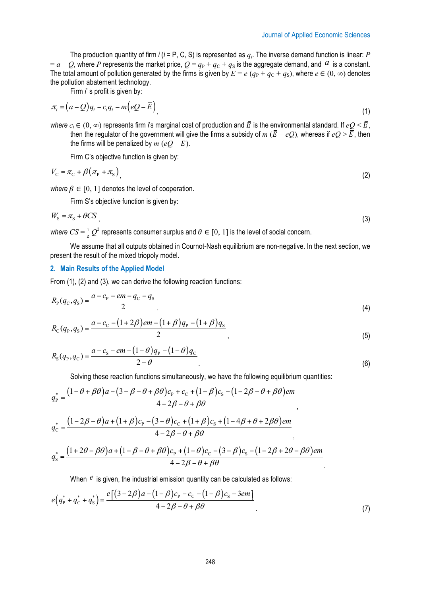.

The production quantity of firm *i* (*i* = P, C, S) is represented as *qi*. The inverse demand function is linear: *P*  $a - Q$ , where *P* represents the market price,  $Q = q_P + q_C + q_S$  is the aggregate demand, and  $q$  is a constant. The total amount of pollution generated by the firms is given by  $E = e (q_P + q_C + q_S)$ , where  $e \in (0, \infty)$  denotes the pollution abatement technology.

Firm *i*' s profit is given by:

$$
\pi_i = (a - Q)q_i - c_i q_i - m\left(eQ - \overline{E}\right),\tag{1}
$$

*where*  $c_i \in (0, \infty)$  represents firm *i*'s marginal cost of production and  $\bar{E}$  is the environmental standard. If  $eO \leq \bar{E}$ . then the regulator of the government will give the firms a subsidy of  $m$  ( $\bar{E}$  – eQ), whereas if  $eQ > \bar{E}$ , then the firms will be penalized by *m* ( $eO - \overline{E}$ ).

Firm C's objective function is given by:

$$
V_{\rm C} = \pi_{\rm C} + \beta \left( \pi_{\rm P} + \pi_{\rm S} \right) \tag{2}
$$

*where*  $\beta \in [0, 1]$  denotes the level of cooperation.

Firm S's objective function is given by:

$$
W_{\rm S} = \pi_{\rm S} + \theta CS \tag{3}
$$

*where*  $CS = \frac{1}{2}Q^2$  represents consumer surplus and  $\theta \in [0, 1]$  is the level of social concern.

We assume that all outputs obtained in Cournot-Nash equilibrium are non-negative. In the next section, we present the result of the mixed triopoly model.

## **2. Main Results of the Applied Model**

From (1), (2) and (3), we can derive the following reaction functions:

$$
R_{\rm p}(q_{\rm C}, q_{\rm S}) = \frac{a - c_{\rm p} - em - q_{\rm C} - q_{\rm S}}{2} \tag{4}
$$

$$
R_{\rm C}(q_{\rm P}, q_{\rm S}) = \frac{a - c_{\rm C} - (1 + 2\beta)em - (1 + \beta)q_{\rm P} - (1 + \beta)q_{\rm S}}{2},\tag{5}
$$

$$
R_{\rm S}(q_{\rm P}, q_{\rm C}) = \frac{a - c_{\rm S} - em - (1 - \theta)q_{\rm P} - (1 - \theta)q_{\rm C}}{2 - \theta} \tag{6}
$$

Solving these reaction functions simultaneously, we have the following equilibrium quantities:

$$
q_{\rm P}^* = \frac{\left(1-\theta+\beta\theta\right)a - \left(3-\beta-\theta+\beta\theta\right)c_{\rm P} + c_{\rm C} + \left(1-\beta\right)c_{\rm S} - \left(1-2\beta-\theta+\beta\theta\right)\text{em}}{4-2\beta-\theta+\beta\theta}
$$
\n
$$
q_{\rm C}^* = \frac{\left(1-2\beta-\theta\right)a + \left(1+\beta\right)c_{\rm P} - \left(3-\theta\right)c_{\rm C} + \left(1+\beta\right)c_{\rm S} + \left(1-4\beta+\theta+2\beta\theta\right)\text{em}}{4-2\beta-\theta+\beta\theta}
$$

$$
q_S^* = \frac{(1+2\theta-\beta\theta)a + (1-\beta-\theta+\beta\theta)c_P + (1-\theta)c_C - (3-\beta)c_S - (1-2\beta+2\theta-\beta\theta)em}{4-2\beta-\theta+\beta\theta}
$$

When  $e$  is given, the industrial emission quantity can be calculated as follows:

$$
e(q_{P}^{*} + q_{C}^{*} + q_{S}^{*}) = \frac{e[(3 - 2\beta)a - (1 - \beta)c_{P} - c_{C} - (1 - \beta)c_{S} - 3em]}{4 - 2\beta - \theta + \beta\theta}
$$
\n(7)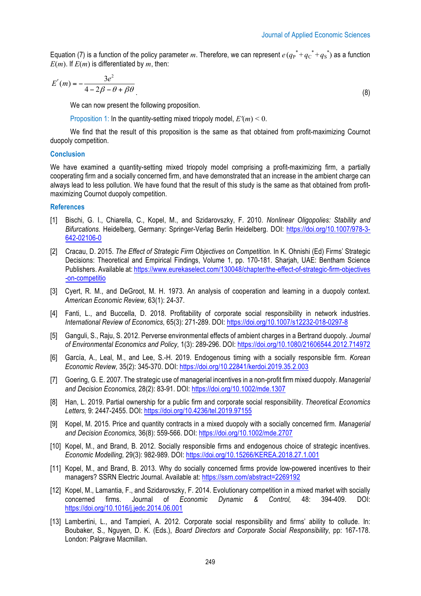Equation (7) is a function of the policy parameter m. Therefore, we can represent  $e(q_P^* + q_C^* + q_S^*)$  as a function  $E(m)$ . If  $E(m)$  is differentiated by m, then:

$$
E'(m) = -\frac{3e^2}{4 - 2\beta - \theta + \beta\theta}
$$
 (8)

We can now present the following proposition.

Proposition 1: In the quantity-setting mixed triopoly model,  $E'(m) < 0$ .

We find that the result of this proposition is the same as that obtained from profit-maximizing Cournot duopoly competition.

## **Conclusion**

We have examined a quantity-setting mixed triopoly model comprising a profit-maximizing firm, a partially cooperating firm and a socially concerned firm, and have demonstrated that an increase in the ambient charge can always lead to less pollution. We have found that the result of this study is the same as that obtained from profitmaximizing Cournot duopoly competition.

#### **References**

- [1] Bischi, G. I., Chiarella, C., Kopel, M., and Szidarovszky, F. 2010. *Nonlinear Oligopolies: Stability and Bifurcations.* Heidelberg, Germany: Springer-Verlag Berlin Heidelberg. DOI: https://doi.org/10.1007/978-3- 642-02106-0
- [2] Cracau, D. 2015. *The Effect of Strategic Firm Objectives on Competition.* In K. Ohnishi (Ed) Firms' Strategic Decisions: Theoretical and Empirical Findings, Volume 1, pp. 170-181. Sharjah, UAE: Bentham Science Publishers. Available at: https://www.eurekaselect.com/130048/chapter/the-effect-of-strategic-firm-objectives -on-competitio
- [3] Cyert, R. M., and DeGroot, M. H. 1973. An analysis of cooperation and learning in a duopoly context. *American Economic Review,* 63(1): 24-37.
- [4] Fanti, L., and Buccella, D. 2018. Profitability of corporate social responsibility in network industries. *International Review of Economics,* 65(3): 271-289. DOI: https://doi.org/10.1007/s12232-018-0297-8
- [5] Ganguli, S., Raju, S. 2012. Perverse environmental effects of ambient charges in a Bertrand duopoly. *Journal of Environmental Economics and Policy,* 1(3): 289-296. DOI: https://doi.org/10.1080/21606544.2012.714972
- [6] García, A., Leal, M., and Lee, S.-H. 2019. Endogenous timing with a socially responsible firm. *Korean Economic Review,* 35(2): 345-370. DOI: https://doi.org/10.22841/kerdoi.2019.35.2.003
- [7] Goering, G. E. 2007. The strategic use of managerial incentives in a non-profit firm mixed duopoly. *Managerial and Decision Economics,* 28(2): 83-91. DOI: https://doi.org/10.1002/mde.1307
- [8] Han, L. 2019. Partial ownership for a public firm and corporate social responsibility. *Theoretical Economics Letters,* 9: 2447-2455. DOI: https://doi.org/10.4236/tel.2019.97155
- [9] Kopel, M. 2015. Price and quantity contracts in a mixed duopoly with a socially concerned firm. *Managerial and Decision Economics,* 36(8): 559-566. DOI: https://doi.org/10.1002/mde.2707
- [10] Kopel, M., and Brand, B. 2012. Socially responsible firms and endogenous choice of strategic incentives. *Economic Modelling,* 29(3): 982-989. DOI: https://doi.org/10.15266/KEREA.2018.27.1.001
- [11] Kopel, M., and Brand, B. 2013. Why do socially concerned firms provide low-powered incentives to their managers? SSRN Electric Journal. Available at: https://ssrn.com/abstract=2269192
- [12] Kopel, M., Lamantia, F., and Szidarovszky, F. 2014. Evolutionary competition in a mixed market with socially concerned firms. Journal of *Economic Dynamic & Control,* 48: 394-409. DOI: https://doi.org/10.1016/j.jedc.2014.06.001
- [13] Lambertini, L., and Tampieri, A. 2012. Corporate social responsibility and firms' ability to collude. In: Boubaker, S., Nguyen, D. K. (Eds.), *Board Directors and Corporate Social Responsibility*, pp: 167-178. London: Palgrave Macmillan.